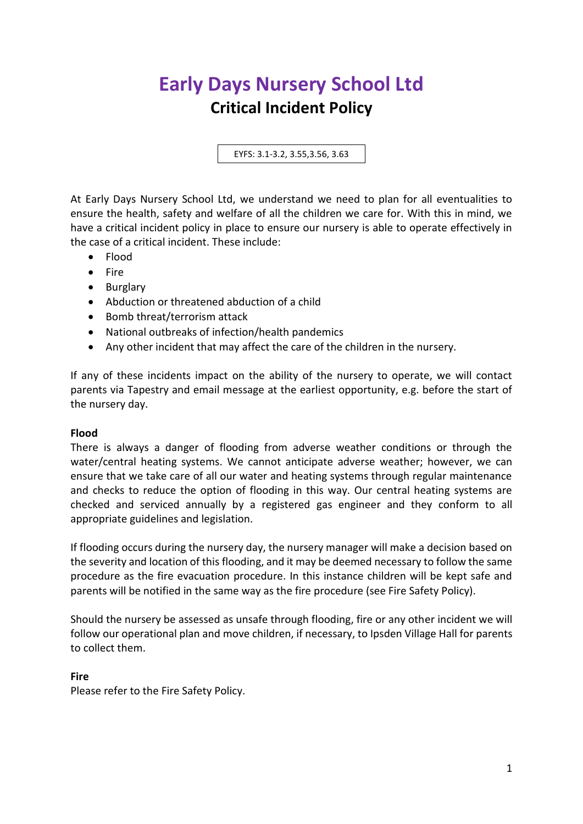# **Early Days Nursery School Ltd Critical Incident Policy**

EYFS: 3.1-3.2, 3.55,3.56, 3.63

At Early Days Nursery School Ltd, we understand we need to plan for all eventualities to ensure the health, safety and welfare of all the children we care for. With this in mind, we have a critical incident policy in place to ensure our nursery is able to operate effectively in the case of a critical incident. These include:

- Flood
- Fire
- Burglary
- Abduction or threatened abduction of a child
- Bomb threat/terrorism attack
- National outbreaks of infection/health pandemics
- Any other incident that may affect the care of the children in the nursery.

If any of these incidents impact on the ability of the nursery to operate, we will contact parents via Tapestry and email message at the earliest opportunity, e.g. before the start of the nursery day.

#### **Flood**

There is always a danger of flooding from adverse weather conditions or through the water/central heating systems. We cannot anticipate adverse weather; however, we can ensure that we take care of all our water and heating systems through regular maintenance and checks to reduce the option of flooding in this way. Our central heating systems are checked and serviced annually by a registered gas engineer and they conform to all appropriate guidelines and legislation.

If flooding occurs during the nursery day, the nursery manager will make a decision based on the severity and location of this flooding, and it may be deemed necessary to follow the same procedure as the fire evacuation procedure. In this instance children will be kept safe and parents will be notified in the same way as the fire procedure (see Fire Safety Policy).

Should the nursery be assessed as unsafe through flooding, fire or any other incident we will follow our operational plan and move children, if necessary, to Ipsden Village Hall for parents to collect them.

## **Fire**

Please refer to the Fire Safety Policy.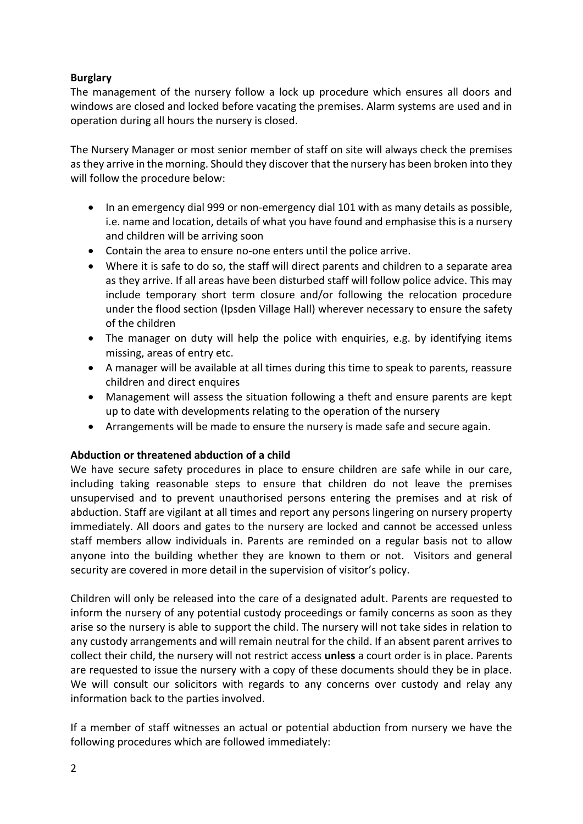## **Burglary**

The management of the nursery follow a lock up procedure which ensures all doors and windows are closed and locked before vacating the premises. Alarm systems are used and in operation during all hours the nursery is closed.

The Nursery Manager or most senior member of staff on site will always check the premises as they arrive in the morning. Should they discover that the nursery has been broken into they will follow the procedure below:

- In an emergency dial 999 or non-emergency dial 101 with as many details as possible, i.e. name and location, details of what you have found and emphasise this is a nursery and children will be arriving soon
- Contain the area to ensure no-one enters until the police arrive.
- Where it is safe to do so, the staff will direct parents and children to a separate area as they arrive. If all areas have been disturbed staff will follow police advice. This may include temporary short term closure and/or following the relocation procedure under the flood section (Ipsden Village Hall) wherever necessary to ensure the safety of the children
- The manager on duty will help the police with enquiries, e.g. by identifying items missing, areas of entry etc.
- A manager will be available at all times during this time to speak to parents, reassure children and direct enquires
- Management will assess the situation following a theft and ensure parents are kept up to date with developments relating to the operation of the nursery
- Arrangements will be made to ensure the nursery is made safe and secure again.

## **Abduction or threatened abduction of a child**

We have secure safety procedures in place to ensure children are safe while in our care, including taking reasonable steps to ensure that children do not leave the premises unsupervised and to prevent unauthorised persons entering the premises and at risk of abduction. Staff are vigilant at all times and report any persons lingering on nursery property immediately. All doors and gates to the nursery are locked and cannot be accessed unless staff members allow individuals in. Parents are reminded on a regular basis not to allow anyone into the building whether they are known to them or not. Visitors and general security are covered in more detail in the supervision of visitor's policy.

Children will only be released into the care of a designated adult. Parents are requested to inform the nursery of any potential custody proceedings or family concerns as soon as they arise so the nursery is able to support the child. The nursery will not take sides in relation to any custody arrangements and will remain neutral for the child. If an absent parent arrives to collect their child, the nursery will not restrict access **unless** a court order is in place. Parents are requested to issue the nursery with a copy of these documents should they be in place. We will consult our solicitors with regards to any concerns over custody and relay any information back to the parties involved.

If a member of staff witnesses an actual or potential abduction from nursery we have the following procedures which are followed immediately: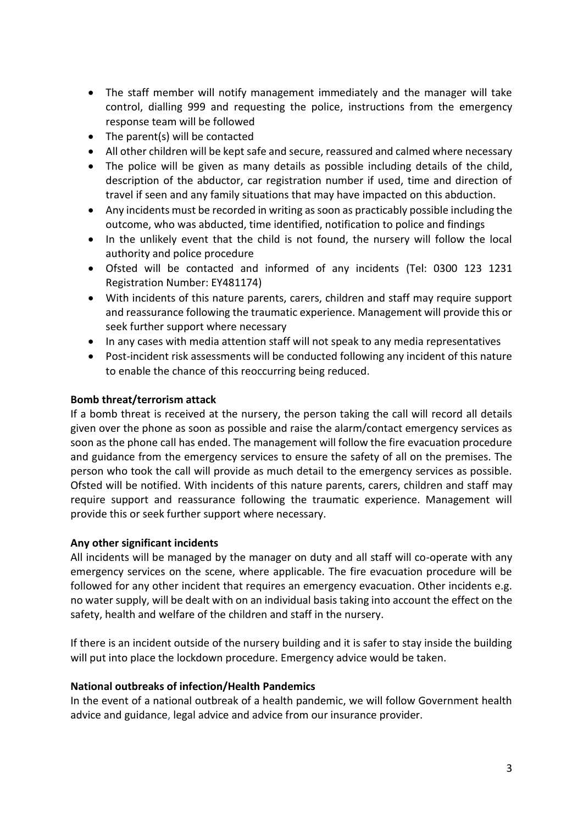- The staff member will notify management immediately and the manager will take control, dialling 999 and requesting the police, instructions from the emergency response team will be followed
- The parent(s) will be contacted
- All other children will be kept safe and secure, reassured and calmed where necessary
- The police will be given as many details as possible including details of the child, description of the abductor, car registration number if used, time and direction of travel if seen and any family situations that may have impacted on this abduction.
- Any incidents must be recorded in writing as soon as practicably possible including the outcome, who was abducted, time identified, notification to police and findings
- In the unlikely event that the child is not found, the nursery will follow the local authority and police procedure
- Ofsted will be contacted and informed of any incidents (Tel: 0300 123 1231 Registration Number: EY481174)
- With incidents of this nature parents, carers, children and staff may require support and reassurance following the traumatic experience. Management will provide this or seek further support where necessary
- In any cases with media attention staff will not speak to any media representatives
- Post-incident risk assessments will be conducted following any incident of this nature to enable the chance of this reoccurring being reduced.

### **Bomb threat/terrorism attack**

If a bomb threat is received at the nursery, the person taking the call will record all details given over the phone as soon as possible and raise the alarm/contact emergency services as soon as the phone call has ended. The management will follow the fire evacuation procedure and guidance from the emergency services to ensure the safety of all on the premises. The person who took the call will provide as much detail to the emergency services as possible. Ofsted will be notified. With incidents of this nature parents, carers, children and staff may require support and reassurance following the traumatic experience. Management will provide this or seek further support where necessary.

#### **Any other significant incidents**

All incidents will be managed by the manager on duty and all staff will co-operate with any emergency services on the scene, where applicable. The fire evacuation procedure will be followed for any other incident that requires an emergency evacuation. Other incidents e.g. no water supply, will be dealt with on an individual basis taking into account the effect on the safety, health and welfare of the children and staff in the nursery.

If there is an incident outside of the nursery building and it is safer to stay inside the building will put into place the lockdown procedure. Emergency advice would be taken.

#### **National outbreaks of infection/Health Pandemics**

In the event of a national outbreak of a health pandemic, we will follow Government health advice and guidance, legal advice and advice from our insurance provider.